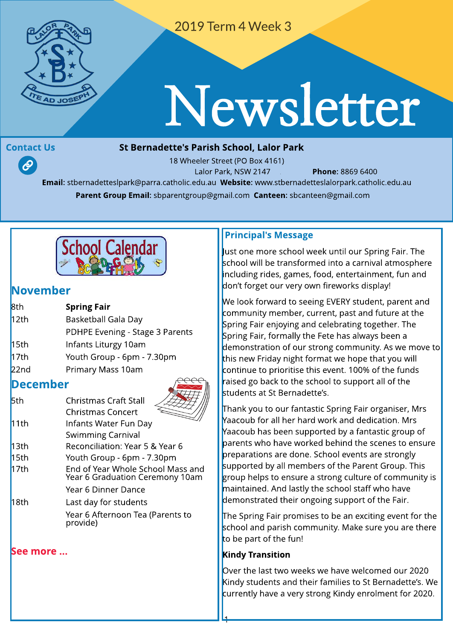

2019 Term 4 Week 3

# Newsletter

 $\mathcal{P}$ 

#### Contact Us **St Bernadette's Parish School, Lalor Park**

18 Wheeler Street (PO Box 4161) Lalor Park, NSW 2147 **Phone:** 8869 6400 Email: stbernadetteslpark@parra.catholic.edu.au Website: [www.stbernadetteslalorpark.catholic.edu.au](http://www.stbernadetteslalorpark.catholic.edu.au) Parent Group Email: sbparentgroup@gmail.com Canteen: sbcanteen@gmail.com



#### Novem ber

| 8th              | <b>Spring Fair</b>              |  |  |
|------------------|---------------------------------|--|--|
| 12th             | Basketball Gala Day             |  |  |
|                  | PDHPE Evening - Stage 3 Parents |  |  |
| 15 <sub>th</sub> | Infants Liturgy 10am            |  |  |
| 17th             | Youth Group - 6pm - 7.30pm      |  |  |
| 22 <sub>nd</sub> | Primary Mass 10am               |  |  |
| In.              |                                 |  |  |

#### **December**

| <b>5th</b>       | Christmas Craft Stall                                                |
|------------------|----------------------------------------------------------------------|
|                  | Christmas Concert                                                    |
| 111th            | Infants Water Fun Day                                                |
|                  | <b>Swimming Carnival</b>                                             |
| 13 <sub>th</sub> | Reconciliation: Year 5 & Year 6                                      |
| 15th             | Youth Group - 6pm - 7.30pm                                           |
| 17th             | End of Year Whole School Mass and<br>Year 6 Graduation Ceremony 10am |
|                  | Year 6 Dinner Dance                                                  |
| 18th             | Last day for students                                                |
|                  | Year 6 Afternoon Tea (Parents to<br>provide)                         |
|                  |                                                                      |

#### [See](http://www.stbernadetteslalorpark.catholic.edu.au/Current-Families/Events) m[ore](http://www.stbernadetteslalorpark.catholic.edu.au/Current-Families/Events) [...](http://www.stbernadetteslalorpark.catholic.edu.au/Current-Families/Events)

#### Principal's Message

Just one more school week until our Spring Fair. The school will be transformed into a carnival atmosphere including rides, games, food, entertainment, fun and don't forget our very own fireworks display!

We look forward to seeing EVERY student, parent and community member, current, past and future at the Spring Fair enjoying and celebrating together. The Spring Fair, formally the Fete has always been a demonstration of our strong community. As we move to this new Friday night format we hope that you will continue to prioritise this event. 100% of the funds raised go back to the school to support all of the students at St Bernadette's.

Thank you to our fantastic Spring Fair organiser, Mrs Yaacoub for all her hard work and dedication. Mrs Yaacoub has been supported by a fantastic group of parents who have worked behind the scenes to ensure preparations are done. School events are strongly supported by all members of the Parent Group. This group helps to ensure a strong culture of community is maintained. And lastly the school staff who have demonstrated their ongoing support of the Fair.

The Spring Fair promises to be an exciting event for the school and parish community. Make sure you are there to be part of the fun!

#### **Kindy Transition**

1

Over the last two weeks we have welcomed our 2020 Kindy students and their families to St Bernadette's. We currently have a very strong Kindy enrolment for 2020.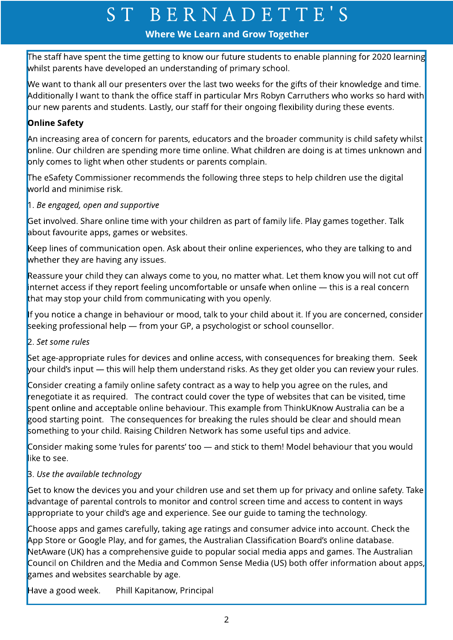#### Where We Learn and Grow Together

The staff have spent the time getting to know our future students to enable planning for 2020 learning whilst parents have developed an understanding of primary school.

We want to thank all our presenters over the last two weeks for the gifts of their knowledge and time. Additionally I want to thank the office staff in particular Mrs Robyn Carruthers who works so hard with our new parents and students. Lastly, our staff for their ongoing flexibility during these events.

#### **Online Safety**

An increasing area of concern for parents, educators and the broader community is child safety whilst online. Our children are spending more time online. What children are doing is at times unknown and only comes to light when other students or parents complain.

The eSafety Commissioner recommends the following three steps to help children use the digital world and minimise risk.

#### 1. **Be engaged, open and supportive**

Get involved. Share online time with your children as part of family life. Play games together. Talk about favourite apps, games or websites.

Keep lines of communication open. Ask about their online experiences, who they are talking to and whether they are having any issues.

Reassure your child they can always come to you, no matter what. Let them know you will not cut off internet access if they report feeling uncomfortable or unsafe when online  $-$  this is a real concern that may stop your child from communicating with you openly.

If you notice a change in behaviour or mood, talk to your child about it. If you are concerned, consider seeking professional help — from your GP, a psychologist or school counsellor.

#### 2. **Set some rules**

Set age-appropriate rules for devices and online access, with consequences for breaking them. Seek your child's input — this will help them understand risks. As they get older you can review your rules.

Consider creating a family online safety contract as a way to help you agree on the rules, and renegotiate it as required. The contract could cover the type of websites that can be visited, time spent online and acceptable online behaviour. This example from ThinkUKnow Australia can be a good starting point. The consequences for breaking the rules should be clear and should mean something to your child. Raising Children Network has some useful tips and advice.

Consider making some 'rules for parents' too - and stick to them! Model behaviour that you would like to see.

#### 3. **Use the available technology**

Get to know the devices you and your children use and set them up for privacy and online safety. Take advantage of parental controls to monitor and control screen time and access to content in ways appropriate to your child's age and experience. See our guide to taming the technology.

Choose apps and games carefully, taking age ratings and consumer advice into account. Check the App Store or Google Play, and for games, the Australian Classification Board's online database. NetAware (UK) has a comprehensive guide to popular social media apps and games. The Australian Council on Children and the Media and Common Sense Media (US) both offer information about apps, games and websites searchable by age.

Have a good week. Phill Kapitanow, Principal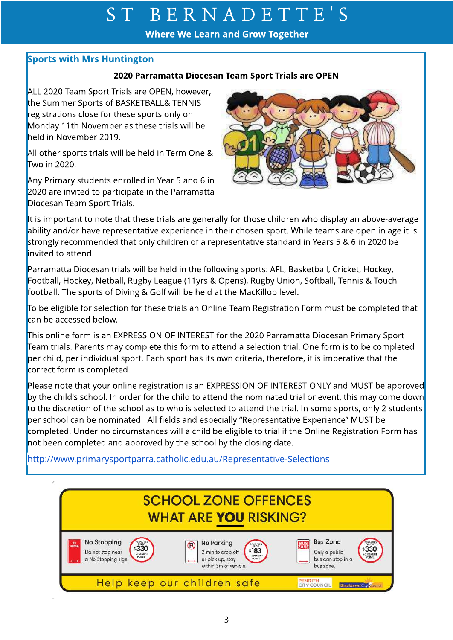Where We Learn and Grow Together

#### **Sports with Mrs Huntington**

#### 2020 Parramatta Diocesan Team Sport Trials are OPEN

ALL 2020 Team Sport Trials are OPEN, however, the Summer Sports of BASKETBALL& TENNIS registrations close for these sports only on Monday 11th November as these trials will be held in November 2019.

All other sports trials will be held in Term One & Two in 2020.

Any Primary students enrolled in Year 5 and 6 in 2020 are invited to participate in the Parramatta Diocesan Team Sport Trials.



It is important to note that these trials are generally for those children who display an above-average ability and/or have representative experience in their chosen sport. While teams are open in age it is strongly recommended that only children of a representative standard in Years 5 & 6 in 2020 be invited to attend.

Parramatta Diocesan trials will be held in the following sports: AFL, Basketball, Cricket, Hockey, Football, Hockey, Netball, Rugby League (11yrs & Opens), Rugby Union, Softball, Tennis & Touch football. The sports of Diving & Golf will be held at the MacKillop level.

To be eligible for selection for these trials an Online Team Registration Form must be completed that can be accessed below.

This online form is an EXPRESSION OF INTEREST for the 2020 Parramatta Diocesan Primary Sport Team trials. Parents may complete this form to attend a selection trial. One form is to be completed per child, per individual sport. Each sport has its own criteria, therefore, it is imperative that the correct form is completed.

Please note that your online registration is an EXPRESSION OF INTEREST ONLY and MUST be approved by the child's school. In order for the child to attend the nominated trial or event, this may come down to the discretion of the school as to who is selected to attend the trial. In some sports, only 2 students per school can be nominated. All fields and especially "Representative Experience" MUST be completed. Under no circumstances will a child be eligible to trial if the Online Registration Form has not been completed and approved by the school by the closing date.

<http://www.primarysportparra.catholic.edu.au/Representative-Selections>

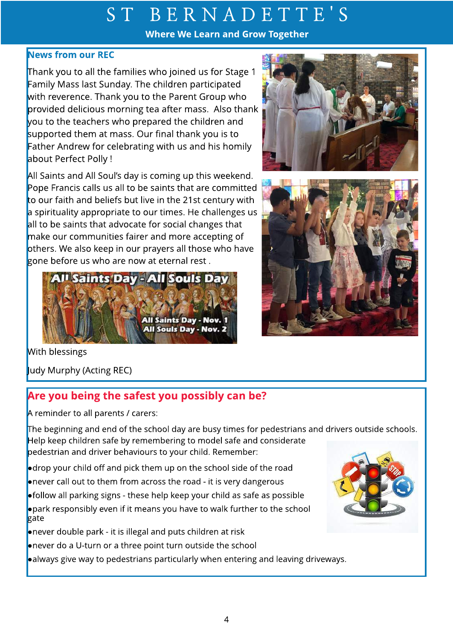Where We Learn and Grow Together

#### News from our REC

Thank you to all the families who joined us for Stage 1 Family Mass last Sunday. The children participated with reverence. Thank you to the Parent Group who provided delicious morning tea after mass. Also thank you to the teachers who prepared the children and supported them at mass. Our final thank you is to Father Andrew for celebrating with us and his homily about Perfect Polly !

All Saints and All Soul's day is coming up this weekend. Pope Francis calls us all to be saints that are committed to our faith and beliefs but live in the 21st century with a spirituality appropriate to our times. He challenges us all to be saints that advocate for social changes that make our communities fairer and more accepting of others. We also keep in our prayers all those who have gone before us who are now at eternal rest .







With blessings

Judy Murphy (Acting REC)

#### Are you being the safest you possibly can be?

A reminder to all parents / carers:

The beginning and end of the school day are busy times for pedestrians and drivers outside schools. Help keep children safe by remembering to model safe and considerate pedestrian and driver behaviours to your child. Remember:

- ?drop your child off and pick them up on the school side of the road
- **.** never call out to them from across the road it is very dangerous
- ?follow all parking signs these help keep your child as safe as possible

?park responsibly even if it means you have to walk further to the school gate

?never double park - it is illegal and puts children at risk

- ?never do a U-turn or a three point turn outside the school
- ?always give way to pedestrians particularly when entering and leaving driveways.

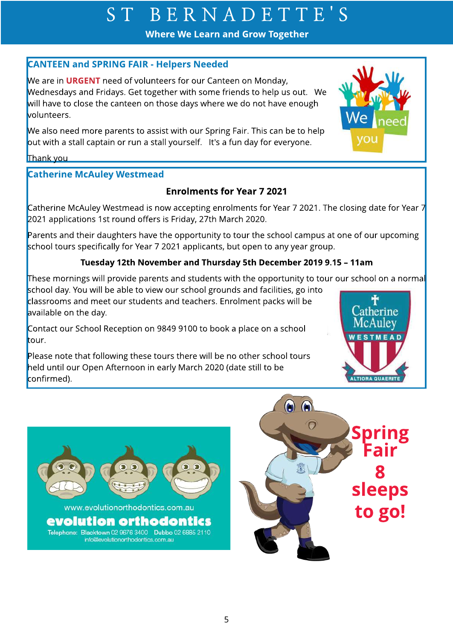Where We Learn and Grow Together

#### CANTEEN and SPRING FAIR - Helpers Needed

We are in URGENT need of volunteers for our Canteen on Monday, Wednesdays and Fridays. Get together with some friends to help us out. We will have to close the canteen on those days where we do not have enough volunteers.

We also need more parents to assist with our Spring Fair. This can be to help out with a stall captain or run a stall yourself. It's a fun day for everyone.

Thank you

#### **Catherine McAuley Westmead**

#### **Enrolments for Year 7 2021**

Catherine McAuley Westmead is now accepting enrolments for Year 7 2021. The closing date for Year  $7$ 2021 applications 1st round offers is Friday, 27th March 2020.

Parents and their daughters have the opportunity to tour the school campus at one of our upcoming school tours specifically for Year 7 2021 applicants, but open to any year group.

#### Tuesday 12th November and Thursday 5th December 2019 9.15 - 11am

These mornings will provide parents and students with the opportunity to tour our school on a normal school day. You will be able to view our school grounds and facilities, go into

classrooms and meet our students and teachers. Enrolment packs will be available on the day.

Contact our School Reception on 9849 9100 to book a place on a school tour.

Please note that following these tours there will be no other school tours held until our Open Afternoon in early March 2020 (date still to be confirmed).







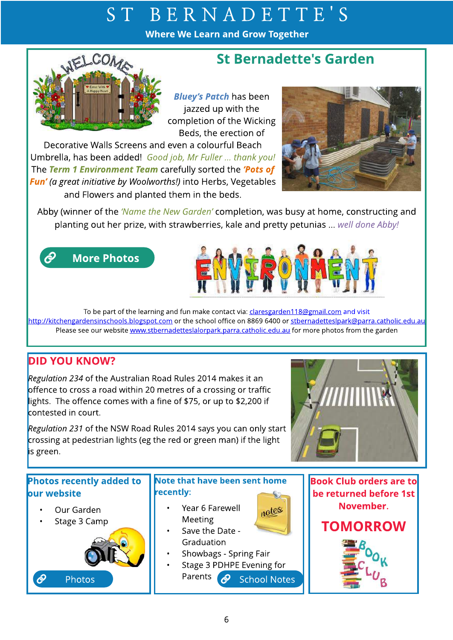Where We Learn and Grow Together



### St Bernadette's Garden

**Bluey?s Patch** has been jazzed up with the completion of the Wicking Beds, the erection of

Decorative Walls Screens and even a colourful Beach Umbrella, has been added! **Good job, Mr Fuller ? thank you!** The **Term 1 Environment Team** carefully sorted the **?Pots of Fun?(a great initiative by Woolworths!)** into Herbs, Vegetables and Flowers and planted them in the beds.



Abby (winner of the **?Name the New Garden?**completion, was busy at home, constructing and planting out her prize, with strawberries, kale and pretty petunias ... well done Abby!

 $\mathcal{C}$ **[More](http://scprod.stbernadetteslalorpark.catholic.edu.au/Current-Families/Gallery) Photos** 



To be part of the learning and fun make contact via: *claresgarden118@gmail.com* and visit <http://kitchengardensinschools.blogspot.com> or the school office on 8869 6400 or stbernadetteslpark@parra.catholic.edu.au Please see our website [www.stbernadetteslalorpark.parra.catholic.edu.au](http://www.stbernadetteslpark.parra.catholic.edu.au) for more photos from the garden

#### DID YOU KNOW?

**Regulation 234** of the Australian Road Rules 2014 makes it an offence to cross a road within 20 metres of a crossing or traffic lights. The offence comes with a fine of \$75, or up to \$2,200 if contested in court.

**Regulation 231** of the NSW Road Rules 2014 says you can only start crossing at pedestrian lights (eg the red or green man) if the light is green.



Photos recently added to **bur website** 

- Our Garden
- Stage 3 Camp

[Photos](http://www.stbernadetteslalorpark.catholic.edu.au/en/Current-Families/Gallery)

ල



#### Note that have been sent home recently:

- Year 6 Farewell Meeting
- Save the Date Graduation
	- Showbags Spring Fair

Stage 3 PDHPE Evening for Parents  $\odot$  [School](http://www.stbernadetteslalorpark.catholic.edu.au/en/Current-Families/School-Notes) Notes

nates

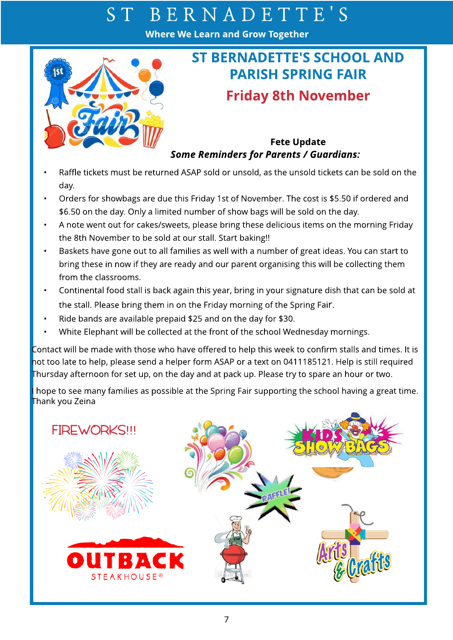Where We Learn and Grow Together



## ST BERNADETTE'S SCHOOL AND PARISH SPRING FAIR

#### **Friday 8th November**

**Fete Update Some Reminders for Parents / Guardians:**

- Raffle tickets must be returned ASAP sold or unsold, as the unsold tickets can be sold on the day.
- Orders for showbags are due this Friday 1st of November. The cost is \$5.50 if ordered and \$6.50 on the day. Only a limited number of show bags will be sold on the day.
- A note went out for cakes/sweets, please bring these delicious items on the morning Friday the 8th November to be sold at our stall. Start baking!!
- Baskets have gone out to all families as well with a number of great ideas. You can start to bring these in now if they are ready and our parent organising this will be collecting them from the classrooms.
- Continental food stall is back again this year, bring in your signature dish that can be sold at the stall. Please bring them in on the Friday morning of the Spring Fair.
- Ride bands are available prepaid \$25 and on the day for \$30.
- White Elephant will be collected at the front of the school Wednesday mornings.

Contact will be made with those who have offered to help this week to confirm stalls and times. It is not too late to help, please send a helper form ASAP or a text on 0411185121. Help is still required Thursday afternoon for set up, on the day and at pack up. Please try to spare an hour or two.

hope to see many families as possible at the Spring Fair supporting the school having a great time. Thank you Zeina

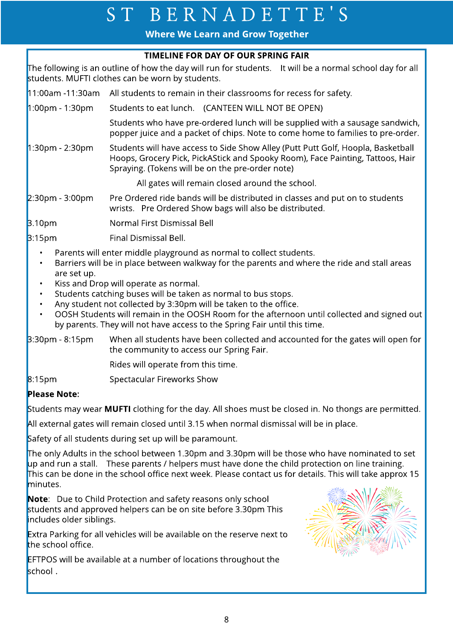Where We Learn and Grow Together

#### TIMELINE FOR DAY OF OUR SPRING FAIR

The following is an outline of how the day will run for students. It will be a normal school day for all students. MUFTI clothes can be worn by students.

- 11:00am -11:30am All students to remain in their classrooms for recess for safety.
- 1:00pm 1:30pm Students to eat lunch. (CANTEEN WILL NOT BEOPEN)

Students who have pre-ordered lunch will be supplied with a sausage sandwich, popper juice and a packet of chips. Note to come home to families to pre-order.

1:30pm - 2:30pm Students will have access to Side Show Alley (Putt Putt Golf, Hoopla, Basketball Hoops, Grocery Pick, PickAStick and Spooky Room), Face Painting, Tattoos, Hair Spraying. (Tokens will be on the pre-order note)

All gates will remain closed around the school.

 $2:30$ pm - 3:00pm Pre Ordered ride bands will be distributed in classes and put on to students wrists. Pre Ordered Show bags will also be distributed.

3.10pm Normal First Dismissal Bell

**3:15pm** Final Dismissal Bell.

- Parents will enter middle playground as normal to collect students.
- Barriers will be in place between walkway for the parents and where the ride and stall areas are set up.
- Kiss and Drop will operate as normal.
- Students catching buses will be taken as normal to bus stops.
- Any student not collected by 3:30pm will be taken to the office.
- OOSH Students will remain in the OOSH Room for the afternoon until collected and signed out by parents. They will not have access to the Spring Fair until this time.
- 3:30pm 8:15pm When all students have been collected and accounted for the gates will open for the community to access our Spring Fair.

Rides will operate from this time.

8:15pm Spectacular Fireworks Show

#### **Please Note:**

Students may wear MUFTI clothing for the day. All shoes must be closed in. No thongs are permitted.

All external gates will remain closed until 3.15 when normal dismissal will be in place.

Safety of all students during set up will be paramount.

The only Adults in the school between 1.30pm and 3.30pm will be those who have nominated to set up and run a stall. These parents / helpers must have done the child protection on line training. This can be done in the school office next week. Please contact us for details. This will take approx 15 minutes.

Note: Due to Child Protection and safety reasons only school students and approved helpers can be on site before 3.30pm This includes older siblings.

Extra Parking for all vehicles will be available on the reserve next to the school office.

EFTPOS will be available at a number of locations throughout the school .